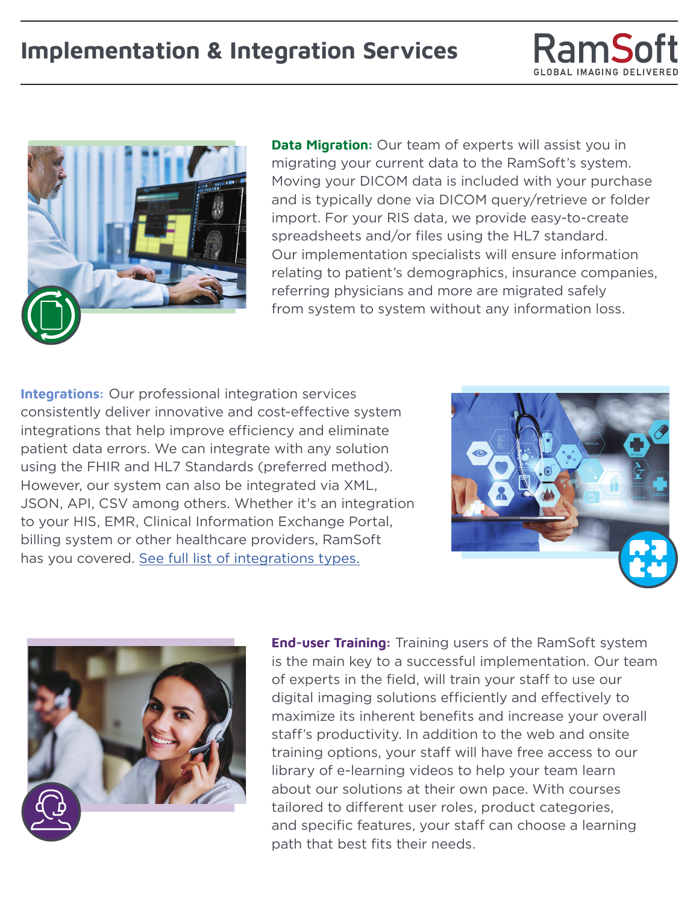## **Implementation & Integration Services**





**Data Migration:** Our team of experts will assist you in migrating your current data to the RamSoft's system. Moving your DICOM data is included with your purchase and is typically done via DICOM query/retrieve or folder import. For your RIS data, we provide easy-to-create spreadsheets and/or files using the HL7 standard. Our implementation specialists will ensure information relating to patient's demographics, insurance companies, referring physicians and more are migrated safely from system to system without any information loss.

**Integrations:** Our professional integration services consistently deliver innovative and cost-effective system integrations that help improve efficiency and eliminate patient data errors. We can integrate with any solution using the FHIR and HL7 Standards (preferred method). However, our system can also be integrated via XML, JSON, API, CSV among others. Whether it's an integration to your HIS, EMR, Clinical Information Exchange Portal, billing system or other healthcare providers, RamSoft has you covered. [See full list of integrations types.](#page-1-0)





**End-user Training:** Training users of the RamSoft system is the main key to a successful implementation. Our team of experts in the field, will train your staff to use our digital imaging solutions efficiently and effectively to maximize its inherent benefits and increase your overall staff's productivity. In addition to the web and onsite training options, your staff will have free access to our library of e-learning videos to help your team learn about our solutions at their own pace. With courses tailored to different user roles, product categories, and specific features, your staff can choose a learning path that best fits their needs.